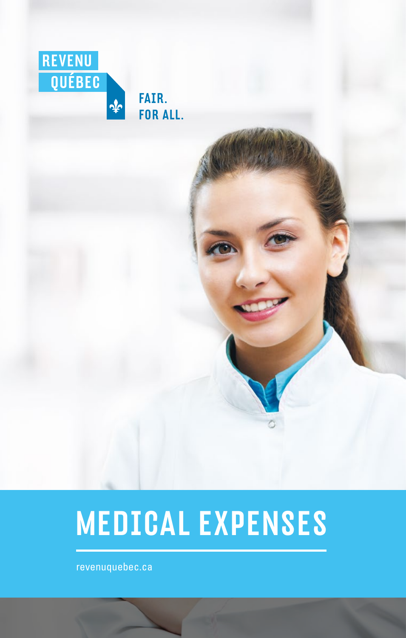

# MEDICAL EXPENSES

 [revenuquebec.ca](https://www.revenuquebec.ca/en)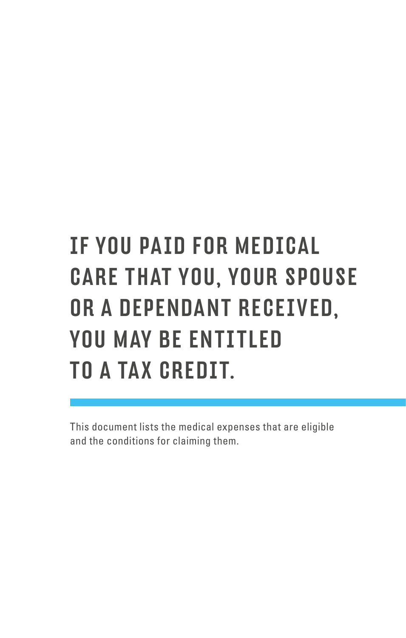# IF YOU PAID FOR MEDICAL CARE THAT YOU, YOUR SPOUSE OR A DEPENDANT RECEIVED, YOU MAY BE ENTITLED TO A TAX CREDIT.

This document lists the medical expenses that are eligible and the conditions for claiming them.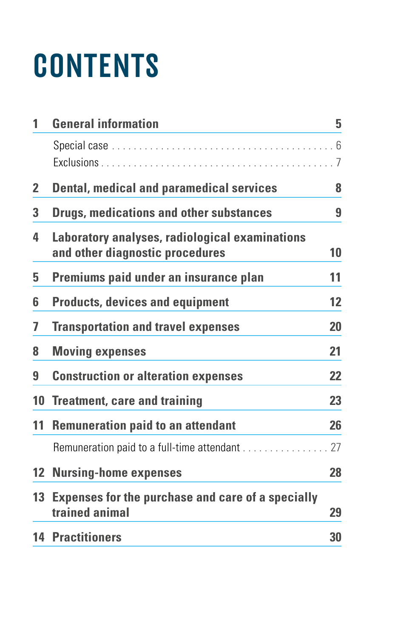# **CONTENTS**

| 1               | <b>General information</b>                                                        | 5  |
|-----------------|-----------------------------------------------------------------------------------|----|
|                 |                                                                                   |    |
|                 |                                                                                   | 7  |
| 2               | <b>Dental, medical and paramedical services</b>                                   | 8  |
| 3               | <b>Drugs, medications and other substances</b>                                    | 9  |
| 4               | Laboratory analyses, radiological examinations<br>and other diagnostic procedures | 10 |
| 5               | Premiums paid under an insurance plan                                             | 11 |
| 6               | <b>Products, devices and equipment</b>                                            | 12 |
| 7               | <b>Transportation and travel expenses</b>                                         | 20 |
| 8               | <b>Moving expenses</b>                                                            | 21 |
| 9               | <b>Construction or alteration expenses</b>                                        | 22 |
| 10              | <b>Treatment, care and training</b>                                               | 23 |
| 11              | <b>Remuneration paid to an attendant</b>                                          | 26 |
|                 | Remuneration paid to a full-time attendant                                        | 27 |
| 12 <sup>2</sup> | <b>Nursing-home expenses</b>                                                      | 28 |
| 13              | <b>Expenses for the purchase and care of a specially</b><br>trained animal        | 29 |
|                 | <b>14 Practitioners</b>                                                           | 30 |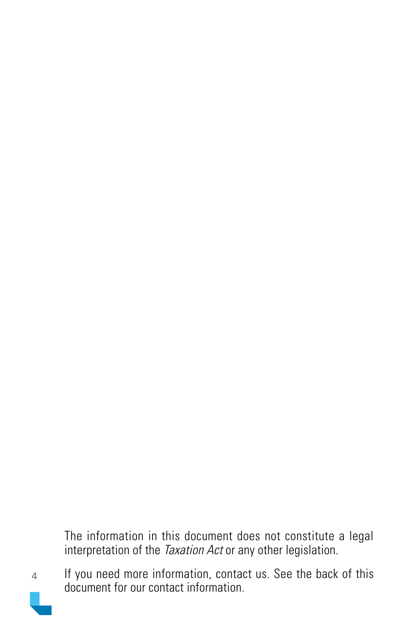The information in this document does not constitute a legal interpretation of the *Taxation Act* or any other legislation.

If you need more information, contact us. See the back of this document for our contact information.

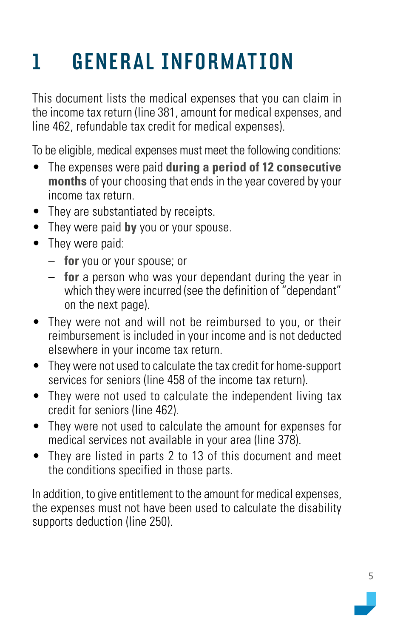# <span id="page-4-0"></span>1 GENERAL INFORMATION

This document lists the medical expenses that you can claim in the income tax return (line 381, amount for medical expenses, and line 462, refundable tax credit for medical expenses).

To be eligible, medical expenses must meet the following conditions:

- The expenses were paid **during a period of 12 consecutive months** of your choosing that ends in the year covered by your income tax return.
- They are substantiated by receipts.
- They were paid **by** you or your spouse.
- They were paid:
	- **for** you or your spouse; or
	- **for** a person who was your dependant during the year in which they were incurred (see the definition of "dependant" on the next page).
- They were not and will not be reimbursed to you, or their reimbursement is included in your income and is not deducted elsewhere in your income tax return.
- They were not used to calculate the tax credit for home-support services for seniors (line 458 of the income tax return).
- They were not used to calculate the independent living tax credit for seniors (line 462).
- They were not used to calculate the amount for expenses for medical services not available in your area (line 378).
- They are listed in parts 2 to 13 of this document and meet the conditions specified in those parts.

In addition, to give entitlement to the amount for medical expenses, the expenses must not have been used to calculate the disability supports deduction (line 250).

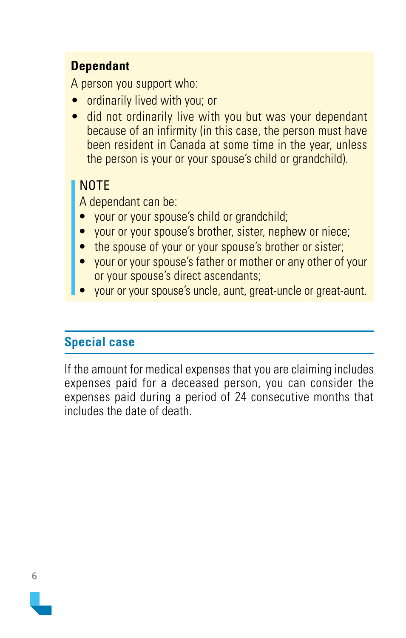### <span id="page-5-0"></span>**Dependant**

A person you support who:

- ordinarily lived with you; or
- did not ordinarily live with you but was your dependant because of an infirmity (in this case, the person must have been resident in Canada at some time in the year, unless the person is your or your spouse's child or grandchild).

### NOTE

A dependant can be:

- your or your spouse's child or grandchild;
- your or your spouse's brother, sister, nephew or niece;
- the spouse of your or your spouse's brother or sister;
- your or your spouse's father or mother or any other of your or your spouse's direct ascendants;
- your or your spouse's uncle, aunt, great-uncle or great-aunt.

### **Special case**

If the amount for medical expenses that you are claiming includes expenses paid for a deceased person, you can consider the expenses paid during a period of 24 consecutive months that includes the date of death.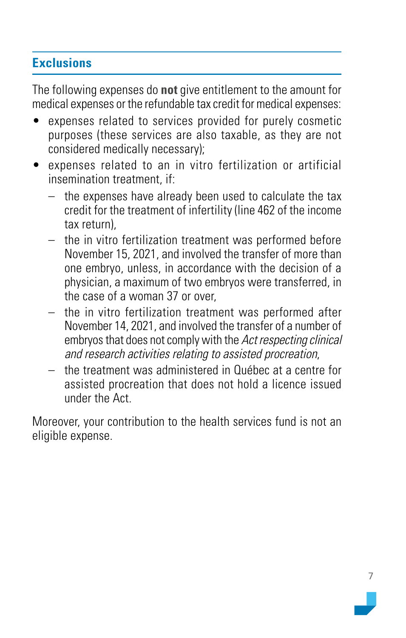### <span id="page-6-0"></span>**Exclusions**

The following expenses do **not** give entitlement to the amount for medical expenses or the refundable tax credit for medical expenses:

- expenses related to services provided for purely cosmetic purposes (these services are also taxable, as they are not considered medically necessary);
- expenses related to an in vitro fertilization or artificial insemination treatment, if:
	- the expenses have already been used to calculate the tax credit for the treatment of infertility (line 462 of the income tax return),
	- the in vitro fertilization treatment was performed before November 15, 2021, and involved the transfer of more than one embryo, unless, in accordance with the decision of a physician, a maximum of two embryos were transferred, in the case of a woman 37 or over,
	- the in vitro fertilization treatment was performed after November 14, 2021, and involved the transfer of a number of embryos that does not comply with the Act respecting clinical and research activities relating to assisted procreation,
	- the treatment was administered in Québec at a centre for assisted procreation that does not hold a licence issued under the Act.

Moreover, your contribution to the health services fund is not an eligible expense.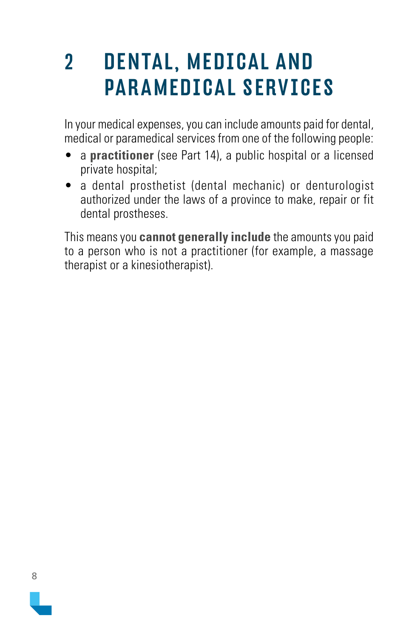### <span id="page-7-0"></span>2 DENTAL, MEDICAL AND PARAMEDICAL SERVICES

In your medical expenses, you can include amounts paid for dental, medical or paramedical services from one of the following people:

- a **practitioner** (see Part 14), a public hospital or a licensed private hospital;
- a dental prosthetist (dental mechanic) or denturologist authorized under the laws of a province to make, repair or fit dental prostheses.

This means you **cannot generally include** the amounts you paid to a person who is not a practitioner (for example, a massage therapist or a kinesiotherapist).

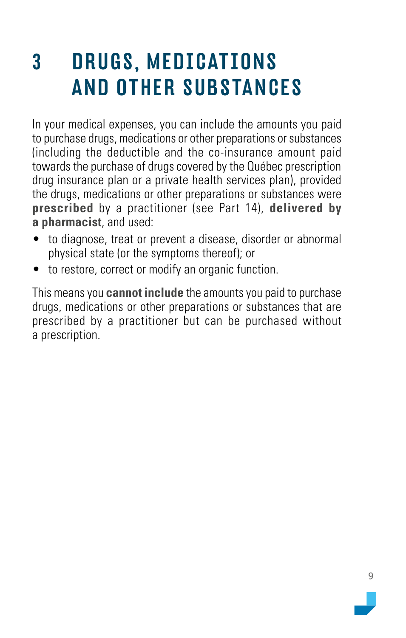### <span id="page-8-0"></span>3 DRUGS, MEDICATIONS AND OTHER SUBSTANCES

In your medical expenses, you can include the amounts you paid to purchase drugs, medications or other preparations or substances (including the deductible and the co-insurance amount paid towards the purchase of drugs covered by the Québec prescription drug insurance plan or a private health services plan), provided the drugs, medications or other preparations or substances were **prescribed** by a practitioner (see Part 14), **delivered by a pharmacist**, and used:

- to diagnose, treat or prevent a disease, disorder or abnormal physical state (or the symptoms thereof); or
- to restore, correct or modify an organic function.

This means you **cannot include** the amounts you paid to purchase drugs, medications or other preparations or substances that are prescribed by a practitioner but can be purchased without a prescription.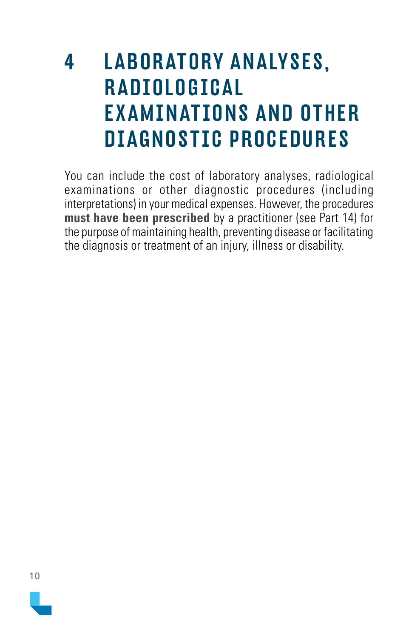### <span id="page-9-0"></span>4 LABORATORY ANALYSES, R ADIOLOGICAL EX AMINATIONS AND OTHER DIAGNOSTIC PROCEDURES

You can include the cost of laboratory analyses, radiological examinations or other diagnostic procedures (including interpretations) in your medical expenses. However, the procedures **must have been prescribed** by a practitioner (see Part 14) for the purpose of maintaining health, preventing disease or facilitating the diagnosis or treatment of an injury, illness or disability.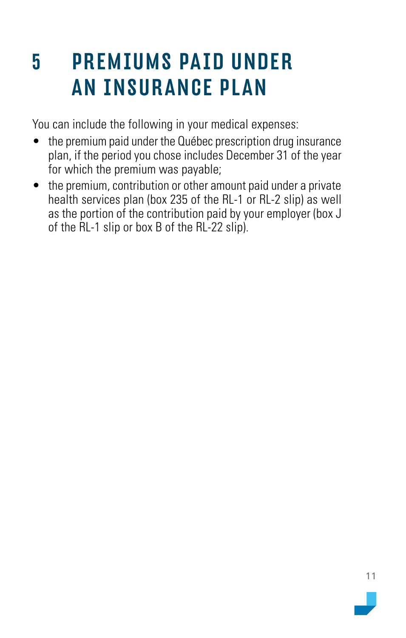### <span id="page-10-0"></span>5 PREMIUMS PAID UNDER AN INSURANCE PLAN

You can include the following in your medical expenses:

- the premium paid under the Québec prescription drug insurance plan, if the period you chose includes December 31 of the year for which the premium was payable;
- the premium, contribution or other amount paid under a private health services plan (box 235 of the RL-1 or RL-2 slip) as well as the portion of the contribution paid by your employer (box J of the RL-1 slip or box B of the RL-22 slip).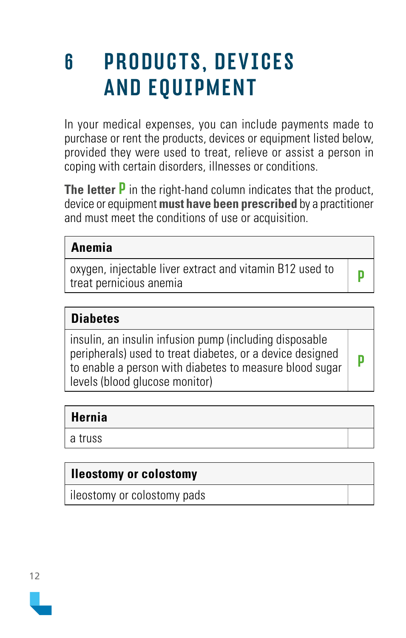### <span id="page-11-0"></span>6 PRODUCTS, DEVICES AND EQUIPMENT

In your medical expenses, you can include payments made to purchase or rent the products, devices or equipment listed below, provided they were used to treat, relieve or assist a person in coping with certain disorders, illnesses or conditions.

**The letter** P in the right-hand column indicates that the product, device or equipment **must have been prescribed** by a practitioner and must meet the conditions of use or acquisition.

### **Anemia**

oxygen, injectable liver extract and vitamin B12 used to oxygen, injectable liver extract and vitamin DTZ used to p<br>treat pernicious anemia

### **Diabetes**

insulin, an insulin infusion pump (including disposable peripherals) used to treat diabetes, or a device designed to enable a person with diabetes to measure blood sugar levels (blood glucose monitor)

P

### **Hernia**

a truss

### **Ileostomy or colostomy**

ileostomy or colostomy pads

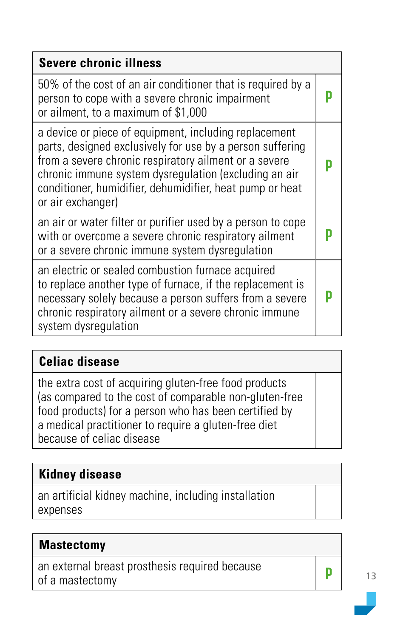| <b>Severe chronic illness</b>                                                                                                                                                                                                                                                                                         |  |
|-----------------------------------------------------------------------------------------------------------------------------------------------------------------------------------------------------------------------------------------------------------------------------------------------------------------------|--|
| 50% of the cost of an air conditioner that is required by a<br>person to cope with a severe chronic impairment<br>or ailment, to a maximum of \$1,000                                                                                                                                                                 |  |
| a device or piece of equipment, including replacement<br>parts, designed exclusively for use by a person suffering<br>from a severe chronic respiratory ailment or a severe<br>chronic immune system dysregulation (excluding an air<br>conditioner, humidifier, dehumidifier, heat pump or heat<br>or air exchanger) |  |
| an air or water filter or purifier used by a person to cope<br>with or overcome a severe chronic respiratory ailment<br>or a severe chronic immune system dysregulation                                                                                                                                               |  |
| an electric or sealed combustion furnace acquired<br>to replace another type of furnace, if the replacement is<br>necessary solely because a person suffers from a severe<br>chronic respiratory ailment or a severe chronic immune<br>system dysregulation                                                           |  |

### **Celiac disease**

the extra cost of acquiring gluten-free food products (as compared to the cost of comparable non-gluten-free food products) for a person who has been certified by a medical practitioner to require a gluten-free diet because of celiac disease

### **Kidney disease**

an artificial kidney machine, including installation expenses

### **Mastectomy**

an external breast prosthesis required because<br>of a mastectomy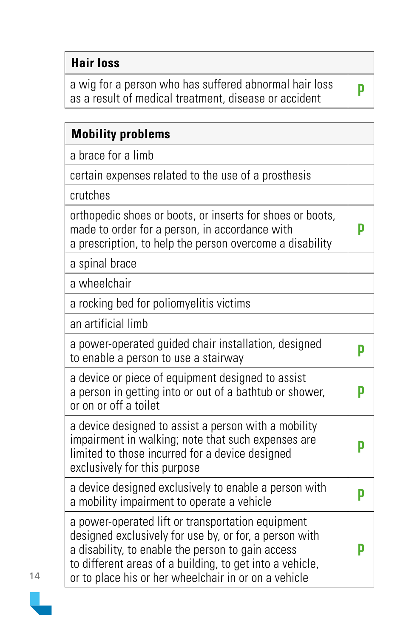### **Hair loss**

a wig for a person who has suffered abnormal hair loss **present of medical treatment, disease or accident** 

| <b>Mobility problems</b>                                                                                                                                                                                                                                                             |   |
|--------------------------------------------------------------------------------------------------------------------------------------------------------------------------------------------------------------------------------------------------------------------------------------|---|
| a brace for a limb                                                                                                                                                                                                                                                                   |   |
| certain expenses related to the use of a prosthesis                                                                                                                                                                                                                                  |   |
| crutches                                                                                                                                                                                                                                                                             |   |
| orthopedic shoes or boots, or inserts for shoes or boots,<br>made to order for a person, in accordance with<br>a prescription, to help the person overcome a disability                                                                                                              | D |
| a spinal brace                                                                                                                                                                                                                                                                       |   |
| a wheelchair                                                                                                                                                                                                                                                                         |   |
| a rocking bed for poliomyelitis victims                                                                                                                                                                                                                                              |   |
| an artificial limb                                                                                                                                                                                                                                                                   |   |
| a power-operated guided chair installation, designed<br>to enable a person to use a stairway                                                                                                                                                                                         | p |
| a device or piece of equipment designed to assist<br>a person in getting into or out of a bathtub or shower,<br>or on or off a toilet                                                                                                                                                | p |
| a device designed to assist a person with a mobility<br>impairment in walking; note that such expenses are<br>limited to those incurred for a device designed<br>exclusively for this purpose                                                                                        | D |
| a device designed exclusively to enable a person with<br>a mobility impairment to operate a vehicle                                                                                                                                                                                  | p |
| a power-operated lift or transportation equipment<br>designed exclusively for use by, or for, a person with<br>a disability, to enable the person to gain access<br>to different areas of a building, to get into a vehicle,<br>or to place his or her wheelchair in or on a vehicle | D |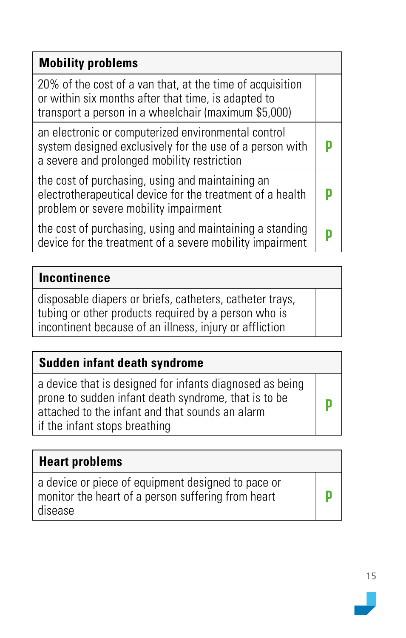| <b>Mobility problems</b>                                                                                                                                                 |  |
|--------------------------------------------------------------------------------------------------------------------------------------------------------------------------|--|
| 20% of the cost of a van that, at the time of acquisition<br>or within six months after that time, is adapted to<br>transport a person in a wheelchair (maximum \$5,000) |  |
| an electronic or computerized environmental control<br>system designed exclusively for the use of a person with<br>a severe and prolonged mobility restriction           |  |
| the cost of purchasing, using and maintaining an<br>electrotherapeutical device for the treatment of a health<br>problem or severe mobility impairment                   |  |
| the cost of purchasing, using and maintaining a standing<br>device for the treatment of a severe mobility impairment                                                     |  |

### **Incontinence**

disposable diapers or briefs, catheters, catheter trays, tubing or other products required by a person who is incontinent because of an illness, injury or affliction

### **Sudden infant death syndrome**

a device that is designed for infants diagnosed as being prone to sudden infant death syndrome, that is to be attached to the infant and that sounds an alarm if the infant stops breathing

### **Heart problems**

a device or piece of equipment designed to pace or monitor the heart of a person suffering from heart disease

P

P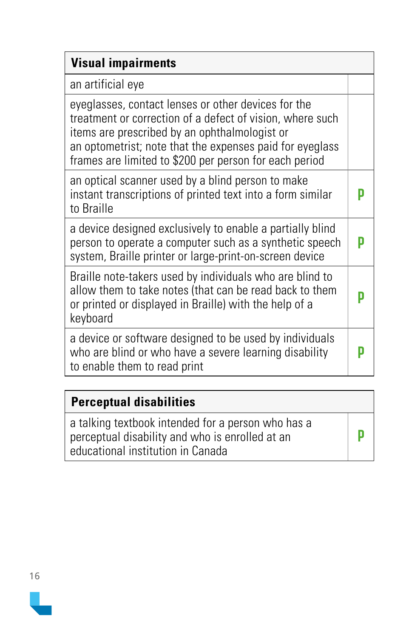| <b>Visual impairments</b>                                                                                                                                                                                                                                                               |  |
|-----------------------------------------------------------------------------------------------------------------------------------------------------------------------------------------------------------------------------------------------------------------------------------------|--|
| an artificial eye                                                                                                                                                                                                                                                                       |  |
| eyeglasses, contact lenses or other devices for the<br>treatment or correction of a defect of vision, where such<br>items are prescribed by an ophthalmologist or<br>an optometrist; note that the expenses paid for eyeglass<br>frames are limited to \$200 per person for each period |  |
| an optical scanner used by a blind person to make<br>instant transcriptions of printed text into a form similar<br>to Braille                                                                                                                                                           |  |
| a device designed exclusively to enable a partially blind<br>person to operate a computer such as a synthetic speech<br>system, Braille printer or large-print-on-screen device                                                                                                         |  |
| Braille note-takers used by individuals who are blind to<br>allow them to take notes (that can be read back to them<br>or printed or displayed in Braille) with the help of a<br>keyboard                                                                                               |  |
| a device or software designed to be used by individuals<br>who are blind or who have a severe learning disability<br>to enable them to read print                                                                                                                                       |  |

### **Perceptual disabilities** a talking textbook intended for a person who has a perceptual disability and who is enrolled at an educational institution in Canada P

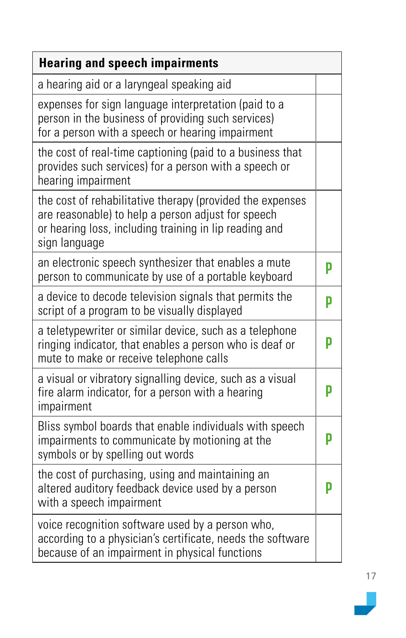| <b>Hearing and speech impairments</b>                                                                                                                                                      |   |
|--------------------------------------------------------------------------------------------------------------------------------------------------------------------------------------------|---|
| a hearing aid or a laryngeal speaking aid                                                                                                                                                  |   |
| expenses for sign language interpretation (paid to a<br>person in the business of providing such services)<br>for a person with a speech or hearing impairment                             |   |
| the cost of real-time captioning (paid to a business that<br>provides such services) for a person with a speech or<br>hearing impairment                                                   |   |
| the cost of rehabilitative therapy (provided the expenses<br>are reasonable) to help a person adjust for speech<br>or hearing loss, including training in lip reading and<br>sign language |   |
| an electronic speech synthesizer that enables a mute<br>person to communicate by use of a portable keyboard                                                                                | p |
| a device to decode television signals that permits the<br>script of a program to be visually displayed                                                                                     | p |
| a teletypewriter or similar device, such as a telephone<br>ringing indicator, that enables a person who is deaf or<br>mute to make or receive telephone calls                              | p |
| a visual or vibratory signalling device, such as a visual<br>fire alarm indicator, for a person with a hearing<br>impairment                                                               | p |
| Bliss symbol boards that enable individuals with speech<br>impairments to communicate by motioning at the<br>symbols or by spelling out words                                              | D |
| the cost of purchasing, using and maintaining an<br>altered auditory feedback device used by a person<br>with a speech impairment                                                          | p |
| voice recognition software used by a person who,<br>according to a physician's certificate, needs the software<br>because of an impairment in physical functions                           |   |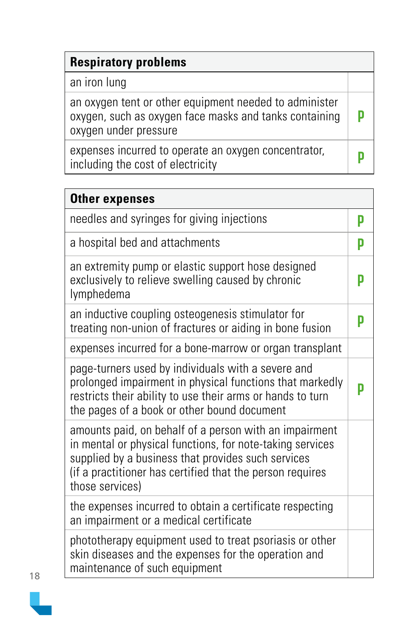| <b>Respiratory problems</b>                                                                                                               |  |
|-------------------------------------------------------------------------------------------------------------------------------------------|--|
| an iron lung                                                                                                                              |  |
| an oxygen tent or other equipment needed to administer<br>oxygen, such as oxygen face masks and tanks containing<br>oxygen under pressure |  |
| expenses incurred to operate an oxygen concentrator,<br>including the cost of electricity                                                 |  |

| <b>Other expenses</b>                                                                                                                                                                                                                                     |   |
|-----------------------------------------------------------------------------------------------------------------------------------------------------------------------------------------------------------------------------------------------------------|---|
| needles and syringes for giving injections                                                                                                                                                                                                                | p |
| a hospital bed and attachments                                                                                                                                                                                                                            | p |
| an extremity pump or elastic support hose designed<br>exclusively to relieve swelling caused by chronic<br>lymphedema                                                                                                                                     | p |
| an inductive coupling osteogenesis stimulator for<br>treating non-union of fractures or aiding in bone fusion                                                                                                                                             | D |
| expenses incurred for a bone-marrow or organ transplant                                                                                                                                                                                                   |   |
| page-turners used by individuals with a severe and<br>prolonged impairment in physical functions that markedly<br>restricts their ability to use their arms or hands to turn<br>the pages of a book or other bound document                               | p |
| amounts paid, on behalf of a person with an impairment<br>in mental or physical functions, for note-taking services<br>supplied by a business that provides such services<br>(if a practitioner has certified that the person requires<br>those services) |   |
| the expenses incurred to obtain a certificate respecting<br>an impairment or a medical certificate                                                                                                                                                        |   |
| phototherapy equipment used to treat psoriasis or other<br>skin diseases and the expenses for the operation and<br>maintenance of such equipment                                                                                                          |   |

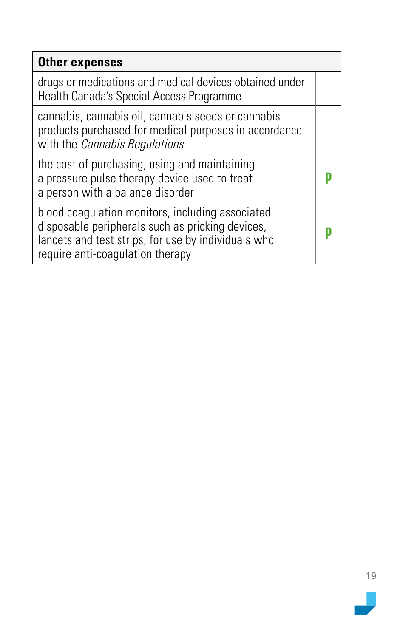| <b>Other expenses</b>                                                                                                                                                                           |  |
|-------------------------------------------------------------------------------------------------------------------------------------------------------------------------------------------------|--|
| drugs or medications and medical devices obtained under<br>Health Canada's Special Access Programme                                                                                             |  |
| cannabis, cannabis oil, cannabis seeds or cannabis<br>products purchased for medical purposes in accordance<br>with the <i>Cannabis Regulations</i>                                             |  |
| the cost of purchasing, using and maintaining<br>a pressure pulse therapy device used to treat<br>a person with a balance disorder                                                              |  |
| blood coagulation monitors, including associated<br>disposable peripherals such as pricking devices,<br>lancets and test strips, for use by individuals who<br>require anti-coagulation therapy |  |

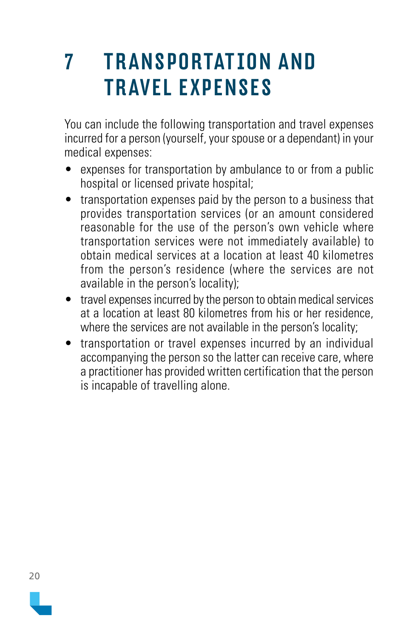### <span id="page-19-0"></span>**7** TRANSPORTATION AND TRAVEL EXPENSES

You can include the following transportation and travel expenses incurred for a person (yourself, your spouse or a dependant) in your medical expenses:

- expenses for transportation by ambulance to or from a public hospital or licensed private hospital;
- transportation expenses paid by the person to a business that provides transportation services (or an amount considered reasonable for the use of the person's own vehicle where transportation services were not immediately available) to obtain medical services at a location at least 40 kilometres from the person's residence (where the services are not available in the person's locality);
- travel expenses incurred by the person to obtain medical services at a location at least 80 kilometres from his or her residence, where the services are not available in the person's locality;
- transportation or travel expenses incurred by an individual accompanying the person so the latter can receive care, where a practitioner has provided written certification that the person is incapable of travelling alone.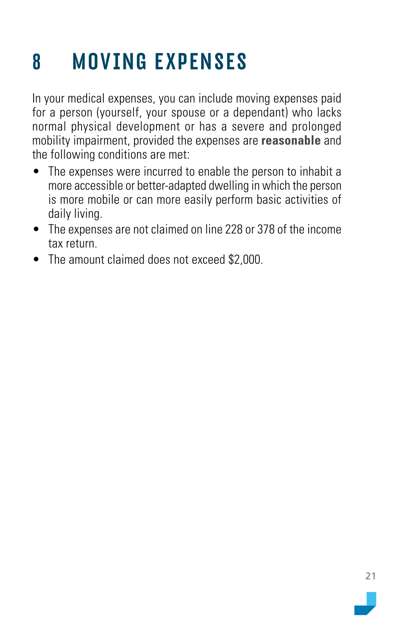## <span id="page-20-0"></span>8 MOVING EXPENSES

In your medical expenses, you can include moving expenses paid for a person (yourself, your spouse or a dependant) who lacks normal physical development or has a severe and prolonged mobility impairment, provided the expenses are **reasonable** and the following conditions are met:

- The expenses were incurred to enable the person to inhabit a more accessible or better-adapted dwelling in which the person is more mobile or can more easily perform basic activities of daily living.
- The expenses are not claimed on line 228 or 378 of the income tax return.
- The amount claimed does not exceed \$2,000.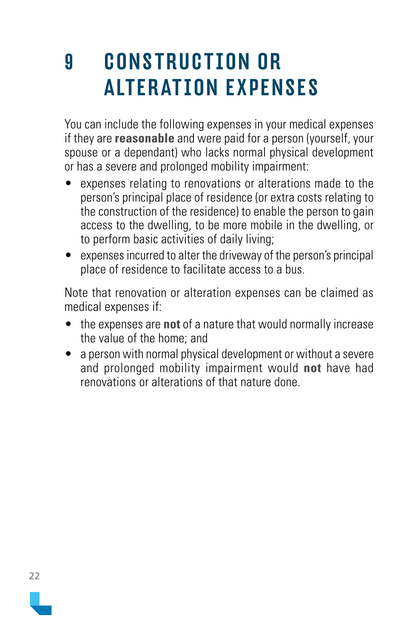### <span id="page-21-0"></span>9 CONSTRUCTION OR ALTERATION EXPENSES

You can include the following expenses in your medical expenses if they are **reasonable** and were paid for a person (yourself, your spouse or a dependant) who lacks normal physical development or has a severe and prolonged mobility impairment:

- expenses relating to renovations or alterations made to the person's principal place of residence (or extra costs relating to the construction of the residence) to enable the person to gain access to the dwelling, to be more mobile in the dwelling, or to perform basic activities of daily living;
- expenses incurred to alter the driveway of the person's principal place of residence to facilitate access to a bus.

Note that renovation or alteration expenses can be claimed as medical expenses if:

- the expenses are **not** of a nature that would normally increase the value of the home; and
- a person with normal physical development or without a severe and prolonged mobility impairment would **not** have had renovations or alterations of that nature done.

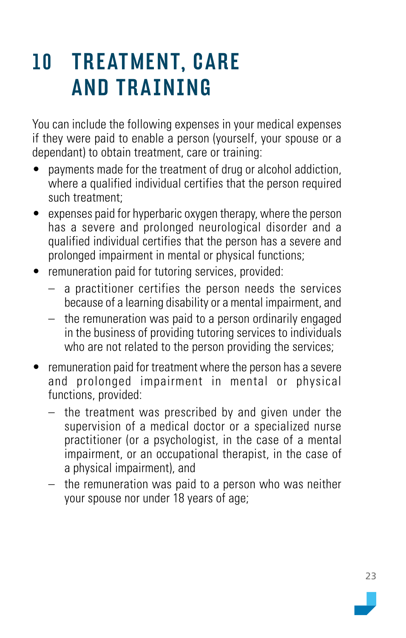### <span id="page-22-0"></span>10 TREATMENT, CARE AND TRAINING

You can include the following expenses in your medical expenses if they were paid to enable a person (yourself, your spouse or a dependant) to obtain treatment, care or training:

- payments made for the treatment of drug or alcohol addiction, where a qualified individual certifies that the person required such treatment;
- expenses paid for hyperbaric oxygen therapy, where the person has a severe and prolonged neurological disorder and a qualified individual certifies that the person has a severe and prolonged impairment in mental or physical functions;
- remuneration paid for tutoring services, provided:
	- a practitioner certifies the person needs the services because of a learning disability or a mental impairment, and
	- the remuneration was paid to a person ordinarily engaged in the business of providing tutoring services to individuals who are not related to the person providing the services;
- remuneration paid for treatment where the person has a severe and prolonged impairment in mental or physical functions, provided:
	- the treatment was prescribed by and given under the supervision of a medical doctor or a specialized nurse practitioner (or a psychologist, in the case of a mental impairment, or an occupational therapist, in the case of a physical impairment), and
	- the remuneration was paid to a person who was neither your spouse nor under 18 years of age;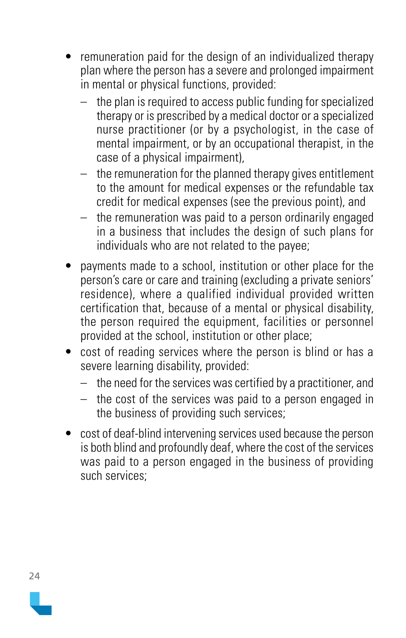- remuneration paid for the design of an individualized therapy plan where the person has a severe and prolonged impairment in mental or physical functions, provided:
	- the plan is required to access public funding for specialized therapy or is prescribed by a medical doctor or a specialized nurse practitioner (or by a psychologist, in the case of mental impairment, or by an occupational therapist, in the case of a physical impairment),
	- the remuneration for the planned therapy gives entitlement to the amount for medical expenses or the refundable tax credit for medical expenses (see the previous point), and
	- the remuneration was paid to a person ordinarily engaged in a business that includes the design of such plans for individuals who are not related to the payee;
- payments made to a school, institution or other place for the person's care or care and training (excluding a private seniors' residence), where a qualified individual provided written certification that, because of a mental or physical disability, the person required the equipment, facilities or personnel provided at the school, institution or other place;
- cost of reading services where the person is blind or has a severe learning disability, provided:
	- the need for the services was certified by a practitioner, and
	- the cost of the services was paid to a person engaged in the business of providing such services;
- cost of deaf-blind intervening services used because the person is both blind and profoundly deaf, where the cost of the services was paid to a person engaged in the business of providing such services;

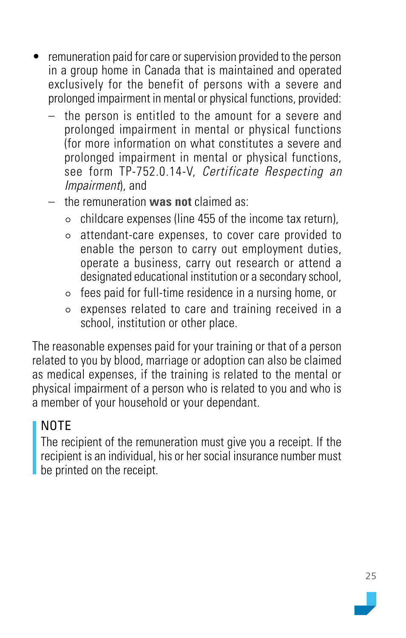- remuneration paid for care or supervision provided to the person in a group home in Canada that is maintained and operated exclusively for the benefit of persons with a severe and prolonged impairment in mental or physical functions, provided:
	- the person is entitled to the amount for a severe and prolonged impairment in mental or physical functions (for more information on what constitutes a severe and prolonged impairment in mental or physical functions, see form TP-752.0.14-V, Certificate Respecting an Impairment), and
	- the remuneration **was not** claimed as:
		- $\circ$  childcare expenses (line 455 of the income tax return).
		- attendant-care expenses, to cover care provided to enable the person to carry out employment duties, operate a business, carry out research or attend a designated educational institution or a secondary school,
		- $\circ$  fees paid for full-time residence in a nursing home, or
		- expenses related to care and training received in a school, institution or other place.

The reasonable expenses paid for your training or that of a person related to you by blood, marriage or adoption can also be claimed as medical expenses, if the training is related to the mental or physical impairment of a person who is related to you and who is a member of your household or your dependant.

### NOTE

The recipient of the remuneration must give you a receipt. If the recipient is an individual, his or her social insurance number must be printed on the receipt.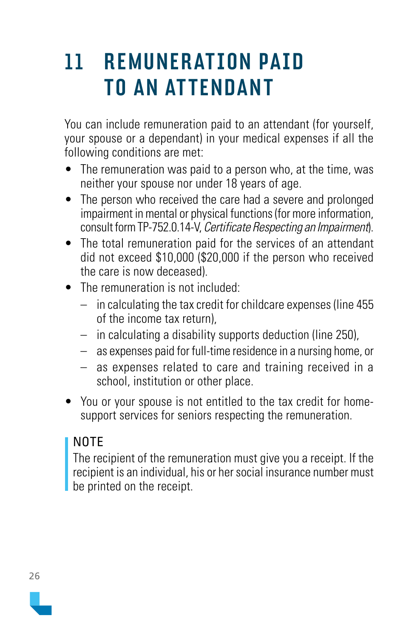### <span id="page-25-0"></span>11 REMUNER ATION PAID TO AN ATTENDANT

You can include remuneration paid to an attendant (for yourself, your spouse or a dependant) in your medical expenses if all the following conditions are met:

- The remuneration was paid to a person who, at the time, was neither your spouse nor under 18 years of age.
- The person who received the care had a severe and prolonged impairment in mental or physical functions (for more information, consult form TP-752.0.14-V, Certificate Respecting an Impairment).
- The total remuneration paid for the services of an attendant did not exceed \$10,000 (\$20,000 if the person who received the care is now deceased).
- The remuneration is not included:
	- in calculating the tax credit for childcare expenses (line 455) of the income tax return),
	- in calculating a disability supports deduction (line 250),
	- as expenses paid for full-time residence in a nursing home, or
	- as expenses related to care and training received in a school, institution or other place.
- You or your spouse is not entitled to the tax credit for homesupport services for seniors respecting the remuneration.

### NOTE

The recipient of the remuneration must give you a receipt. If the recipient is an individual, his or her social insurance number must be printed on the receipt.

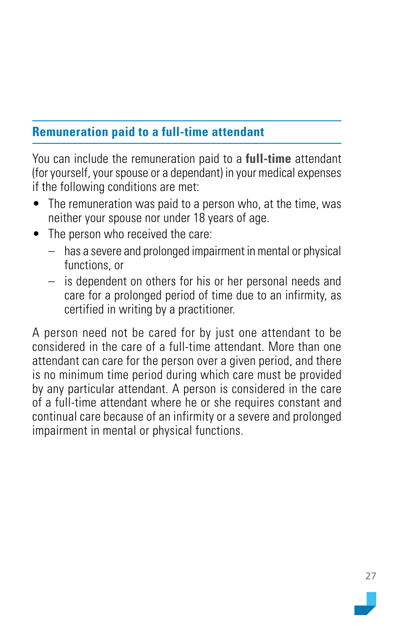### <span id="page-26-0"></span>**Remuneration paid to a full-time attendant**

You can include the remuneration paid to a **full-time** attendant (for yourself, your spouse or a dependant) in your medical expenses if the following conditions are met:

- The remuneration was paid to a person who, at the time, was neither your spouse nor under 18 years of age.
- The person who received the care:
	- has a severe and prolonged impairment in mental or physical functions, or
	- is dependent on others for his or her personal needs and care for a prolonged period of time due to an infirmity, as certified in writing by a practitioner.

A person need not be cared for by just one attendant to be considered in the care of a full-time attendant. More than one attendant can care for the person over a given period, and there is no minimum time period during which care must be provided by any particular attendant. A person is considered in the care of a full-time attendant where he or she requires constant and continual care because of an infirmity or a severe and prolonged impairment in mental or physical functions.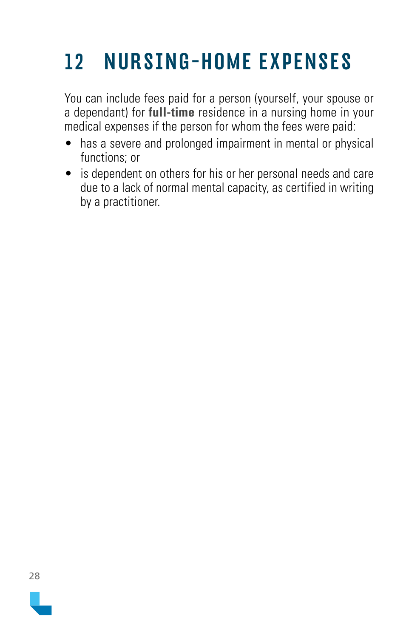# <span id="page-27-0"></span>12 NURSING-HOME EXPENSES

You can include fees paid for a person (yourself, your spouse or a dependant) for **full-time** residence in a nursing home in your medical expenses if the person for whom the fees were paid:

- has a severe and prolonged impairment in mental or physical functions; or
- is dependent on others for his or her personal needs and care due to a lack of normal mental capacity, as certified in writing by a practitioner.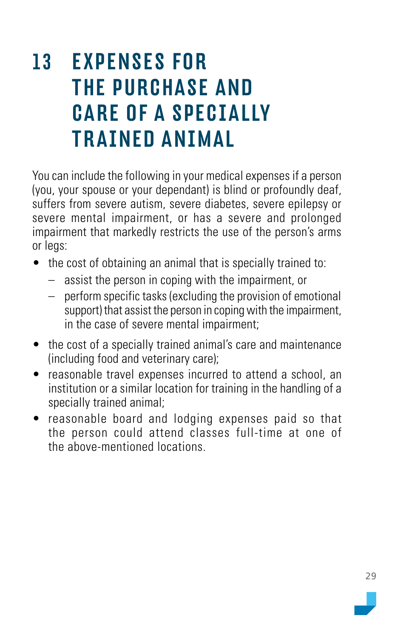### <span id="page-28-0"></span>13 EXPENSES FOR THE PURCHASE AND CARE OF A SPECIALLY TRAINED ANIMAL

You can include the following in your medical expenses if a person (you, your spouse or your dependant) is blind or profoundly deaf, suffers from severe autism, severe diabetes, severe epilepsy or severe mental impairment, or has a severe and prolonged impairment that markedly restricts the use of the person's arms or legs:

- the cost of obtaining an animal that is specially trained to:
	- assist the person in coping with the impairment, or
	- perform specific tasks (excluding the provision of emotional support) that assist the person in coping with the impairment, in the case of severe mental impairment;
- the cost of a specially trained animal's care and maintenance (including food and veterinary care);
- reasonable travel expenses incurred to attend a school, an institution or a similar location for training in the handling of a specially trained animal;
- reasonable board and lodging expenses paid so that the person could attend classes full-time at one of the above-mentioned locations.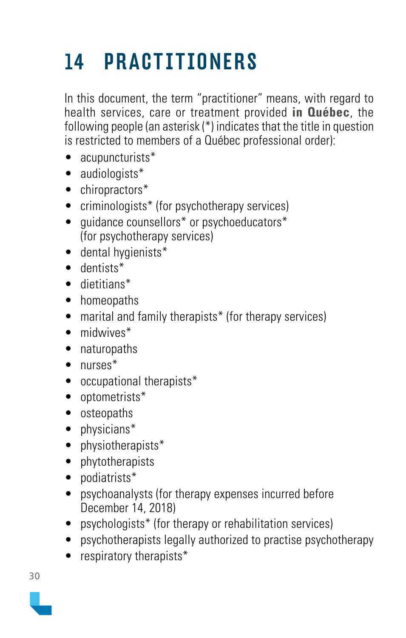# <span id="page-29-0"></span>14 PRACTITIONERS

In this document, the term "practitioner" means, with regard to health services, care or treatment provided **in Québec**, the following people (an asterisk (\*) indicates that the title in question is restricted to members of a Québec professional order):

- acupuncturists\*
- audiologists\*
- chiropractors\*
- criminologists<sup>\*</sup> (for psychotherapy services)
- quidance counsellors<sup>\*</sup> or psychoeducators<sup>\*</sup> (for psychotherapy services)
- dental hygienists\*
- dentists\*
- dietitians\*
- homeopaths
- marital and family therapists\* (for therapy services)
- midwives<sup>\*</sup>
- naturopaths
- nurses<sup>\*</sup>
- occupational therapists\*
- optometrists\*
- osteopaths
- physicians\*
- physiotherapists\*
- phytotherapists
- podiatrists\*
- psychoanalysts (for therapy expenses incurred before December 14, 2018)
- psychologists<sup>\*</sup> (for therapy or rehabilitation services)
- psychotherapists legally authorized to practise psychotherapy
- respiratory therapists\*

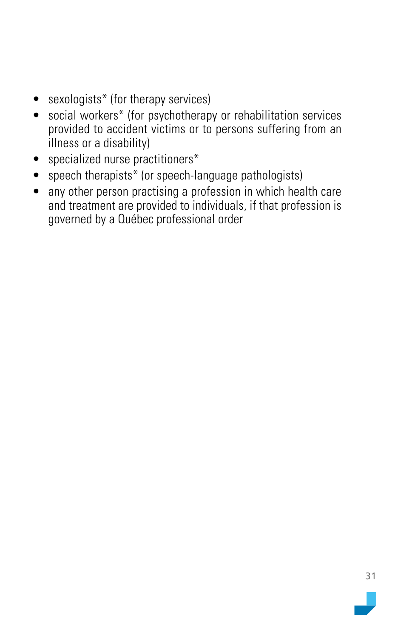- sexologists\* (for therapy services)
- social workers\* (for psychotherapy or rehabilitation services provided to accident victims or to persons suffering from an illness or a disability)
- specialized nurse practitioners\*
- speech therapists\* (or speech-language pathologists)
- any other person practising a profession in which health care and treatment are provided to individuals, if that profession is governed by a Québec professional order